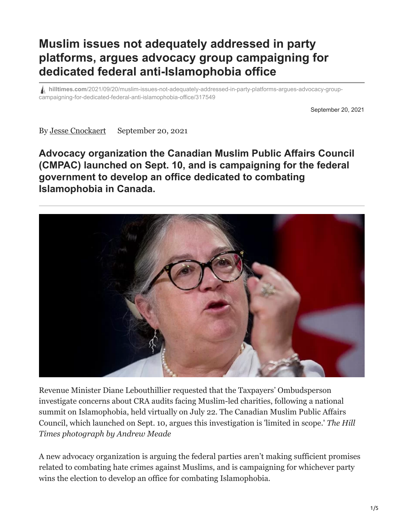## **Muslim issues not adequately addressed in party platforms, argues advocacy group campaigning for dedicated federal anti-Islamophobia office**

**hilltimes.com**[/2021/09/20/muslim-issues-not-adequately-addressed-in-party-platforms-argues-advocacy-group](https://www.hilltimes.com/2021/09/20/muslim-issues-not-adequately-addressed-in-party-platforms-argues-advocacy-group-campaigning-for-dedicated-federal-anti-islamophobia-office/317549)campaigning-for-dedicated-federal-anti-islamophobia-office/317549

September 20, 2021

By [Jesse Cnockaert](https://www.hilltimes.com/author/jesse-cnockaert) September 20, 2021

## **Advocacy organization the Canadian Muslim Public Affairs Council (CMPAC) launched on Sept. 10, and is campaigning for the federal government to develop an office dedicated to combating Islamophobia in Canada.**



Revenue Minister Diane Lebouthillier requested that the Taxpayers' Ombudsperson investigate concerns about CRA audits facing Muslim-led charities, following a national summit on Islamophobia, held virtually on July 22. The Canadian Muslim Public Affairs Council, which launched on Sept. 10, argues this investigation is 'limited in scope.' *The Hill Times photograph by Andrew Meade*

A new advocacy organization is arguing the federal parties aren't making sufficient promises related to combating hate crimes against Muslims, and is campaigning for whichever party wins the election to develop an office for combating Islamophobia.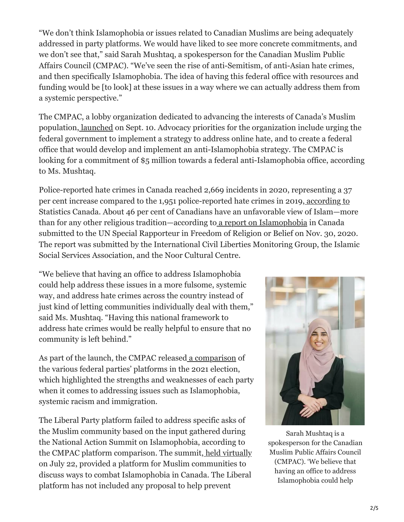"We don't think Islamophobia or issues related to Canadian Muslims are being adequately addressed in party platforms. We would have liked to see more concrete commitments, and we don't see that," said Sarah Mushtaq, a spokesperson for the Canadian Muslim Public Affairs Council (CMPAC). "We've seen the rise of anti-Semitism, of anti-Asian hate crimes, and then specifically Islamophobia. The idea of having this federal office with resources and funding would be [to look] at these issues in a way where we can actually address them from a systemic perspective."

The CMPAC, a lobby organization dedicated to advancing the interests of Canada's Muslim population, [launched](https://canadianmuslimpac.ca/about-cmpac/) on Sept. 10. Advocacy priorities for the organization include urging the federal government to implement a strategy to address online hate, and to create a federal office that would develop and implement an anti-Islamophobia strategy. The CMPAC is looking for a commitment of \$5 million towards a federal anti-Islamophobia office, according to Ms. Mushtaq.

Police-reported hate crimes in Canada reached 2,669 incidents in 2020, representing a 37 per cent increase compared to the 1,951 police-reported hate crimes in 2019, [according to](https://www150.statcan.gc.ca/n1/pub/85-002-x/2021001/article/00013-eng.htm) Statistics Canada. About 46 per cent of Canadians have an unfavorable view of Islam—more than for any other religious tradition—according to [a report on Islamophobia](https://www.ohchr.org/Documents/Issues/Religion/Islamophobia-AntiMuslim/Civil%20Society%20or%20Individuals/Noor-ICLMG-ISSA.pdf) in Canada submitted to the UN Special Rapporteur in Freedom of Religion or Belief on Nov. 30, 2020. The report was submitted by the International Civil Liberties Monitoring Group, the Islamic Social Services Association, and the Noor Cultural Centre.

"We believe that having an office to address Islamophobia could help address these issues in a more fulsome, systemic way, and address hate crimes across the country instead of just kind of letting communities individually deal with them," said Ms. Mushtaq. "Having this national framework to address hate crimes would be really helpful to ensure that no community is left behind."

As part of the launch, the CMPAC released [a comparison](https://canadianmuslimpac.ca/party-comparison/) of the various federal parties' platforms in the 2021 election, which highlighted the strengths and weaknesses of each party when it comes to addressing issues such as Islamophobia, systemic racism and immigration.

The Liberal Party platform failed to address specific asks of the Muslim community based on the input gathered during the National Action Summit on Islamophobia, according to the CMPAC platform comparison. The summit, [held virtually](https://www.canada.ca/en/canadian-heritage/news/2021/07/the-government-of-canada-concludes-national-summit-on-islamophobia.html) on July 22, provided a platform for Muslim communities to discuss ways to combat Islamophobia in Canada. The Liberal platform has not included any proposal to help prevent



Sarah Mushtaq is a spokesperson for the Canadian Muslim Public Affairs Council (CMPAC). 'We believe that having an office to address Islamophobia could help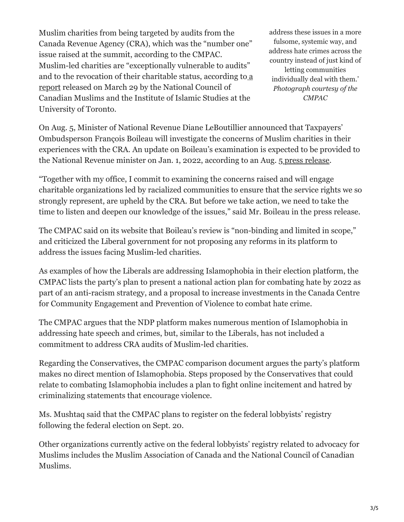Muslim charities from being targeted by audits from the Canada Revenue Agency (CRA), which was the "number one" issue raised at the summit, according to the CMPAC. Muslim-led charities are "exceptionally vulnerable to audits" [and to the revocation of their charitable status, according to](https://www.layeredsuspicion.ca/) a report released on March 29 by the National Council of Canadian Muslims and the Institute of Islamic Studies at the University of Toronto.

address these issues in a more fulsome, systemic way, and address hate crimes across the country instead of just kind of letting communities individually deal with them.' *Photograph courtesy of the CMPAC*

On Aug. 5, Minister of National Revenue Diane LeBoutillier announced that Taxpayers' Ombudsperson François Boileau will investigate the concerns of Muslim charities in their experiences with the CRA. An update on Boileau's examination is expected to be provided to the National Revenue minister on Jan. 1, 2022, according to an Aug. 5 [press release.](https://www.canada.ca/en/taxpayers-ombudsperson/news/2021/08/the-taxpayers-ombudsperson-opens-systemic-examination-into-issues-expressed-by-muslim-led-charities.html)

"Together with my office, I commit to examining the concerns raised and will engage charitable organizations led by racialized communities to ensure that the service rights we so strongly represent, are upheld by the CRA. But before we take action, we need to take the time to listen and deepen our knowledge of the issues," said Mr. Boileau in the press release.

The CMPAC said on its website that Boileau's review is "non-binding and limited in scope," and criticized the Liberal government for not proposing any reforms in its platform to address the issues facing Muslim-led charities.

As examples of how the Liberals are addressing Islamophobia in their election platform, the CMPAC lists the party's plan to present a national action plan for combating hate by 2022 as part of an anti-racism strategy, and a proposal to increase investments in the Canada Centre for Community Engagement and Prevention of Violence to combat hate crime.

The CMPAC argues that the NDP platform makes numerous mention of Islamophobia in addressing hate speech and crimes, but, similar to the Liberals, has not included a commitment to address CRA audits of Muslim-led charities.

Regarding the Conservatives, the CMPAC comparison document argues the party's platform makes no direct mention of Islamophobia. Steps proposed by the Conservatives that could relate to combating Islamophobia includes a plan to fight online incitement and hatred by criminalizing statements that encourage violence.

Ms. Mushtaq said that the CMPAC plans to register on the federal lobbyists' registry following the federal election on Sept. 20.

Other organizations currently active on the federal lobbyists' registry related to advocacy for Muslims includes the Muslim Association of Canada and the National Council of Canadian Muslims.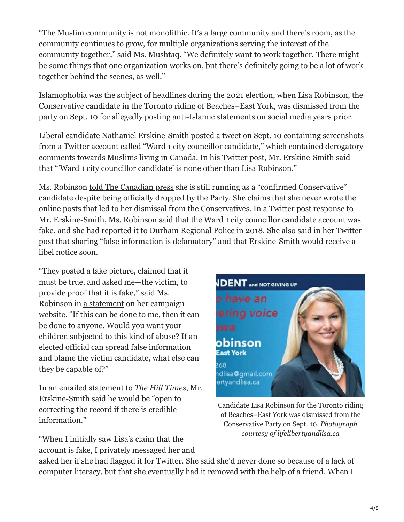"The Muslim community is not monolithic. It's a large community and there's room, as the community continues to grow, for multiple organizations serving the interest of the community together," said Ms. Mushtaq. "We definitely want to work together. There might be some things that one organization works on, but there's definitely going to be a lot of work together behind the scenes, as well."

Islamophobia was the subject of headlines during the 2021 election, when Lisa Robinson, the Conservative candidate in the Toronto riding of Beaches–East York, was dismissed from the party on Sept. 10 for allegedly posting anti-Islamic statements on social media years prior.

Liberal candidate Nathaniel Erskine-Smith posted a tweet on Sept. 10 containing screenshots from a Twitter account called "Ward 1 city councillor candidate," which contained derogatory comments towards Muslims living in Canada. In his Twitter post, Mr. Erskine-Smith said that "'Ward 1 city councillor candidate' is none other than Lisa Robinson."

Ms. Robinson [told The Canadian press](https://www.cbc.ca/news/politics/lisa-robinson-candidacy-1.6180712?__vfz=medium%3Dsharebar) she is still running as a "confirmed Conservative" candidate despite being officially dropped by the Party. She claims that she never wrote the online posts that led to her dismissal from the Conservatives. In a Twitter post response to Mr. Erskine-Smith, Ms. Robinson said that the Ward 1 city councillor candidate account was fake, and she had reported it to Durham Regional Police in 2018. She also said in her Twitter post that sharing "false information is defamatory" and that Erskine-Smith would receive a libel notice soon.

"They posted a fake picture, claimed that it must be true, and asked me—the victim, to provide proof that it is fake," said Ms. Robinson in [a statement](https://lifelibertyandlisa.ca/) on her campaign website. "If this can be done to me, then it can be done to anyone. Would you want your children subjected to this kind of abuse? If an elected official can spread false information and blame the victim candidate, what else can they be capable of?"

In an emailed statement to *The Hill Times*, Mr. Erskine-Smith said he would be "open to correcting the record if there is credible information."

"When I initially saw Lisa's claim that the account is fake, I privately messaged her and



Candidate Lisa Robinson for the Toronto riding of Beaches–East York was dismissed from the Conservative Party on Sept. 10. *Photograph courtesy of lifelibertyandlisa.ca*

asked her if she had flagged it for Twitter. She said she'd never done so because of a lack of computer literacy, but that she eventually had it removed with the help of a friend. When I